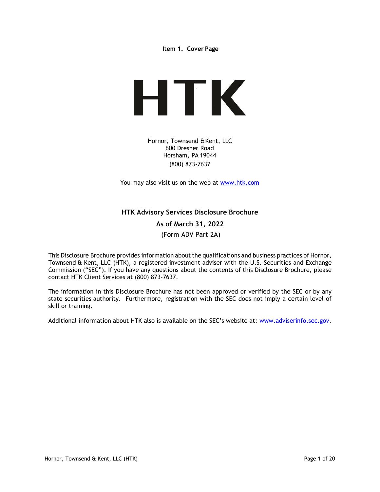Item 1. Cover Page



Hornor, Townsend & Kent, LLC 600 Dresher Road Horsham, PA 19044 (800) 873-7637

You may also visit us on the web at www.htk.com

# HTK Advisory Services Disclosure Brochure

As of March 31, 2022 (Form ADV Part 2A)

This Disclosure Brochure provides information about the qualifications and business practices of Hornor, Townsend & Kent, LLC (HTK), a registered investment adviser with the U.S. Securities and Exchange Commission ("SEC"). If you have any questions about the contents of this Disclosure Brochure, please contact HTK Client Services at (800) 873-7637.

The information in this Disclosure Brochure has not been approved or verified by the SEC or by any state securities authority. Furthermore, registration with the SEC does not imply a certain level of skill or training.

Additional information about HTK also is available on the SEC's website at: www.adviserinfo.sec.gov.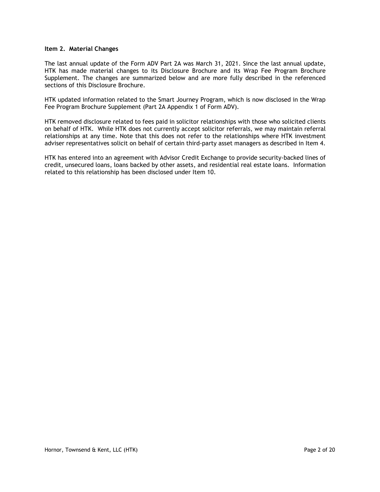#### Item 2. Material Changes

The last annual update of the Form ADV Part 2A was March 31, 2021. Since the last annual update, HTK has made material changes to its Disclosure Brochure and its Wrap Fee Program Brochure Supplement. The changes are summarized below and are more fully described in the referenced sections of this Disclosure Brochure.

HTK updated information related to the Smart Journey Program, which is now disclosed in the Wrap Fee Program Brochure Supplement (Part 2A Appendix 1 of Form ADV).

HTK removed disclosure related to fees paid in solicitor relationships with those who solicited clients on behalf of HTK. While HTK does not currently accept solicitor referrals, we may maintain referral relationships at any time. Note that this does not refer to the relationships where HTK investment adviser representatives solicit on behalf of certain third-party asset managers as described in Item 4.

HTK has entered into an agreement with Advisor Credit Exchange to provide security-backed lines of credit, unsecured loans, loans backed by other assets, and residential real estate loans. Information related to this relationship has been disclosed under Item 10.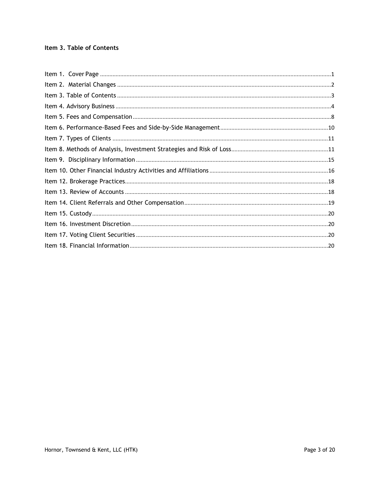## Item 3. Table of Contents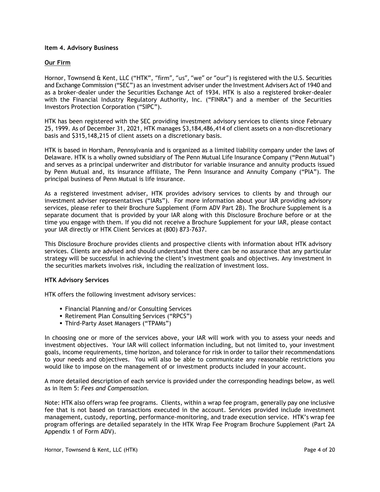## Item 4. Advisory Business

#### Our Firm

Hornor, Townsend & Kent, LLC ("HTK", "firm", "us", "we" or "our") is registered with the U.S. Securities and Exchange Commission ("SEC") as an investment adviser under the Investment Advisers Act of 1940 and as a broker-dealer under the Securities Exchange Act of 1934. HTK is also a registered broker-dealer with the Financial Industry Regulatory Authority, Inc. ("FINRA") and a member of the Securities Investors Protection Corporation ("SIPC").

HTK has been registered with the SEC providing investment advisory services to clients since February 25, 1999. As of December 31, 2021, HTK manages \$3,184,486,414 of client assets on a non-discretionary basis and \$315,148,215 of client assets on a discretionary basis.

HTK is based in Horsham, Pennsylvania and is organized as a limited liability company under the laws of Delaware. HTK is a wholly owned subsidiary of The Penn Mutual Life Insurance Company ("Penn Mutual") and serves as a principal underwriter and distributor for variable insurance and annuity products issued by Penn Mutual and, its insurance affiliate, The Penn Insurance and Annuity Company ("PIA"). The principal business of Penn Mutual is life insurance.

As a registered investment adviser, HTK provides advisory services to clients by and through our investment adviser representatives ("IARs"). For more information about your IAR providing advisory services, please refer to their Brochure Supplement (Form ADV Part 2B). The Brochure Supplement is a separate document that is provided by your IAR along with this Disclosure Brochure before or at the time you engage with them. If you did not receive a Brochure Supplement for your IAR, please contact your IAR directly or HTK Client Services at (800) 873-7637.

This Disclosure Brochure provides clients and prospective clients with information about HTK advisory services. Clients are advised and should understand that there can be no assurance that any particular strategy will be successful in achieving the client's investment goals and objectives. Any investment in the securities markets involves risk, including the realization of investment loss.

## HTK Advisory Services

HTK offers the following investment advisory services:

- **Financial Planning and/or Consulting Services**
- Retirement Plan Consulting Services ("RPCS")
- Third-Party Asset Managers ("TPAMs")

In choosing one or more of the services above, your IAR will work with you to assess your needs and investment objectives. Your IAR will collect information including, but not limited to, your investment goals, income requirements, time horizon, and tolerance for risk in order to tailor their recommendations to your needs and objectives. You will also be able to communicate any reasonable restrictions you would like to impose on the management of or investment products included in your account.

A more detailed description of each service is provided under the corresponding headings below, as well as in Item 5: Fees and Compensation.

Note: HTK also offers wrap fee programs. Clients, within a wrap fee program, generally pay one inclusive fee that is not based on transactions executed in the account. Services provided include investment management, custody, reporting, performance-monitoring, and trade execution service. HTK's wrap fee program offerings are detailed separately in the HTK Wrap Fee Program Brochure Supplement (Part 2A Appendix 1 of Form ADV).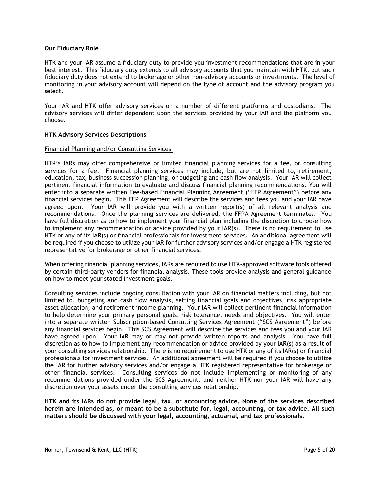#### Our Fiduciary Role

HTK and your IAR assume a fiduciary duty to provide you investment recommendations that are in your best interest. This fiduciary duty extends to all advisory accounts that you maintain with HTK, but such fiduciary duty does not extend to brokerage or other non-advisory accounts or investments. The level of monitoring in your advisory account will depend on the type of account and the advisory program you select.

Your IAR and HTK offer advisory services on a number of different platforms and custodians. The advisory services will differ dependent upon the services provided by your IAR and the platform you choose.

## HTK Advisory Services Descriptions

#### Financial Planning and/or Consulting Services

HTK's IARs may offer comprehensive or limited financial planning services for a fee, or consulting services for a fee. Financial planning services may include, but are not limited to, retirement, education, tax, business succession planning, or budgeting and cash flow analysis. Your IAR will collect pertinent financial information to evaluate and discuss financial planning recommendations. You will enter into a separate written Fee-based Financial Planning Agreement ("FFP Agreement") before any financial services begin. This FFP Agreement will describe the services and fees you and your IAR have agreed upon. Your IAR will provide you with a written report(s) of all relevant analysis and recommendations. Once the planning services are delivered, the FFPA Agreement terminates. You have full discretion as to how to implement your financial plan including the discretion to choose how to implement any recommendation or advice provided by your IAR(s). There is no requirement to use HTK or any of its IAR(s) or financial professionals for investment services. An additional agreement will be required if you choose to utilize your IAR for further advisory services and/or engage a HTK registered representative for brokerage or other financial services.

When offering financial planning services, IARs are required to use HTK-approved software tools offered by certain third-party vendors for financial analysis. These tools provide analysis and general guidance on how to meet your stated investment goals.

Consulting services include ongoing consultation with your IAR on financial matters including, but not limited to, budgeting and cash flow analysis, setting financial goals and objectives, risk appropriate asset allocation, and retirement income planning. Your IAR will collect pertinent financial information to help determine your primary personal goals, risk tolerance, needs and objectives. You will enter into a separate written Subscription-based Consulting Services Agreement ("SCS Agreement") before any financial services begin. This SCS Agreement will describe the services and fees you and your IAR have agreed upon. Your IAR may or may not provide written reports and analysis. You have full discretion as to how to implement any recommendation or advice provided by your IAR(s) as a result of your consulting services relationship. There is no requirement to use HTK or any of its IAR(s) or financial professionals for investment services. An additional agreement will be required if you choose to utilize the IAR for further advisory services and/or engage a HTK registered representative for brokerage or other financial services. Consulting services do not include implementing or monitoring of any recommendations provided under the SCS Agreement, and neither HTK nor your IAR will have any discretion over your assets under the consulting services relationship.

HTK and its IARs do not provide legal, tax, or accounting advice. None of the services described herein are intended as, or meant to be a substitute for, legal, accounting, or tax advice. All such matters should be discussed with your legal, accounting, actuarial, and tax professionals.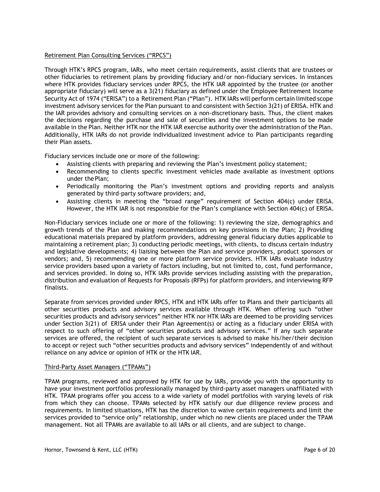## Retirement Plan Consulting Services ("RPCS")

Through HTK's RPCS program, IARs, who meet certain requirements, assist clients that are trustees or other fiduciaries to retirement plans by providing fiduciary and/or non-fiduciary services. In instances where HTK provides fiduciary services under RPCS, the HTK IAR appointed by the trustee (or another appropriate fiduciary) will serve as a 3(21) fiduciary as defined under the Employee Retirement Income Security Act of 1974 ("ERISA") to a Retirement Plan ("Plan"). HTK IARs will perform certain limited scope investment advisory services for the Plan pursuant to and consistent with Section 3(21) of ERISA. HTK and the IAR provides advisory and consulting services on a non-discretionary basis. Thus, the client makes the decisions regarding the purchase and sale of securities and the investment options to be made available in the Plan. Neither HTK nor the HTK IAR exercise authority over the administration of the Plan. Additionally, HTK IARs do not provide individualized investment advice to Plan participants regarding their Plan assets.

Fiduciary services include one or more of the following:

- Assisting clients with preparing and reviewing the Plan's investment policy statement;
- Recommending to clients specific investment vehicles made available as investment options under the Plan;
- Periodically monitoring the Plan's investment options and providing reports and analysis generated by third-party software providers; and,
- Assisting clients in meeting the "broad range" requirement of Section 404(c) under ERISA. However, the HTK IAR is not responsible for the Plan's compliance with Section 404(c) of ERISA.

Non-Fiduciary services include one or more of the following: 1) reviewing the size, demographics and growth trends of the Plan and making recommendations on key provisions in the Plan; 2) Providing educational materials prepared by platform providers, addressing general fiduciary duties applicable to maintaining a retirement plan; 3) conducting periodic meetings, with clients, to discuss certain industry and legislative developments; 4) liaising between the Plan and service providers, product sponsors or vendors; and, 5) recommending one or more platform service providers. HTK IARs evaluate industry service providers based upon a variety of factors including, but not limited to, cost, fund performance, and services provided. In doing so, HTK IARs provide services including assisting with the preparation, distribution and evaluation of Requests for Proposals (RFPs) for platform providers, and interviewing RFP finalists.

Separate from services provided under RPCS, HTK and HTK IARs offer to Plans and their participants all other securities products and advisory services available through HTK. When offering such "other securities products and advisory services" neither HTK nor HTK IARs are deemed to be providing services under Section 3(21) of ERISA under their Plan Agreement(s) or acting as a fiduciary under ERISA with respect to such offering of "other securities products and advisory services." If any such separate services are offered, the recipient of such separate services is advised to make his/her/their decision to accept or reject such "other securities products and advisory services" independently of and without reliance on any advice or opinion of HTK or the HTK IAR.

## Third-Party Asset Managers ("TPAMs")

TPAM programs, reviewed and approved by HTK for use by IARs, provide you with the opportunity to have your investment portfolios professionally managed by third-party asset managers unaffiliated with HTK. TPAM programs offer you access to a wide variety of model portfolios with varying levels of risk from which they can choose. TPAMs selected by HTK satisfy our due diligence review process and requirements. In limited situations, HTK has the discretion to waive certain requirements and limit the services provided to "service only" relationship, under which no new clients are placed under the TPAM management. Not all TPAMs are available to all IARs or all clients, and are subject to change.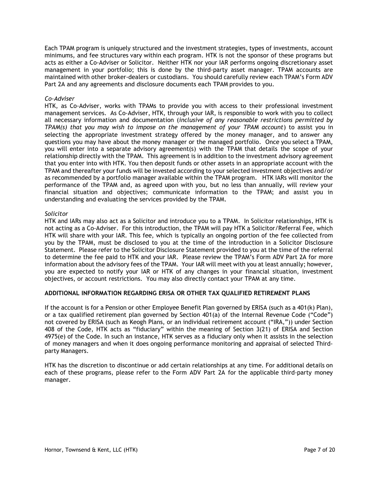Each TPAM program is uniquely structured and the investment strategies, types of investments, account minimums, and fee structures vary within each program. HTK is not the sponsor of these programs but acts as either a Co-Adviser or Solicitor. Neither HTK nor your IAR performs ongoing discretionary asset management in your portfolio; this is done by the third-party asset manager. TPAM accounts are maintained with other broker-dealers or custodians. You should carefully review each TPAM's Form ADV Part 2A and any agreements and disclosure documents each TPAM provides to you.

#### Co-Adviser

HTK, as Co-Adviser, works with TPAMs to provide you with access to their professional investment management services. As Co-Adviser, HTK, through your IAR, is responsible to work with you to collect all necessary information and documentation (inclusive of any reasonable restrictions permitted by TPAM(s) that you may wish to impose on the management of your TPAM account) to assist you in selecting the appropriate investment strategy offered by the money manager, and to answer any questions you may have about the money manager or the managed portfolio. Once you select a TPAM, you will enter into a separate advisory agreement(s) with the TPAM that details the scope of your relationship directly with the TPAM. This agreement is in addition to the investment advisory agreement that you enter into with HTK. You then deposit funds or other assets in an appropriate account with the TPAM and thereafter your funds will be invested according to your selected investment objectives and/or as recommended by a portfolio manager available within the TPAM program. HTK IARs will monitor the performance of the TPAM and, as agreed upon with you, but no less than annually, will review your financial situation and objectives; communicate information to the TPAM; and assist you in understanding and evaluating the services provided by the TPAM.

#### Solicitor

HTK and IARs may also act as a Solicitor and introduce you to a TPAM. In Solicitor relationships, HTK is not acting as a Co-Adviser. For this introduction, the TPAM will pay HTK a Solicitor/Referral Fee, which HTK will share with your IAR. This fee, which is typically an ongoing portion of the fee collected from you by the TPAM, must be disclosed to you at the time of the introduction in a Solicitor Disclosure Statement. Please refer to the Solicitor Disclosure Statement provided to you at the time of the referral to determine the fee paid to HTK and your IAR. Please review the TPAM's Form ADV Part 2A for more information about the advisory fees of the TPAM. Your IAR will meet with you at least annually; however, you are expected to notify your IAR or HTK of any changes in your financial situation, investment objectives, or account restrictions. You may also directly contact your TPAM at any time.

## ADDITIONAL INFORMATION REGARDING ERISA OR OTHER TAX QUALIFIED RETIREMENT PLANS

If the account is for a Pension or other Employee Benefit Plan governed by ERISA (such as a 401(k) Plan), or a tax qualified retirement plan governed by Section 401(a) of the Internal Revenue Code ("Code") not covered by ERISA (such as Keogh Plans, or an individual retirement account ("IRA,")) under Section 408 of the Code, HTK acts as "fiduciary" within the meaning of Section 3(21) of ERISA and Section 4975(e) of the Code. In such an instance, HTK serves as a fiduciary only when it assists in the selection of money managers and when it does ongoing performance monitoring and appraisal of selected Thirdparty Managers.

HTK has the discretion to discontinue or add certain relationships at any time. For additional details on each of these programs, please refer to the Form ADV Part 2A for the applicable third-party money manager.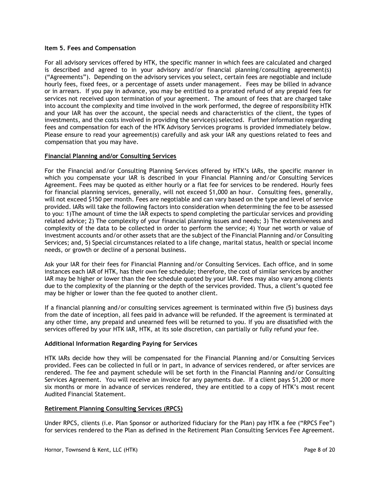#### Item 5. Fees and Compensation

For all advisory services offered by HTK, the specific manner in which fees are calculated and charged is described and agreed to in your advisory and/or financial planning/consulting agreement(s) ("Agreements"). Depending on the advisory services you select, certain fees are negotiable and include hourly fees, fixed fees, or a percentage of assets under management. Fees may be billed in advance or in arrears. If you pay in advance, you may be entitled to a prorated refund of any prepaid fees for services not received upon termination of your agreement. The amount of fees that are charged take into account the complexity and time involved in the work performed, the degree of responsibility HTK and your IAR has over the account, the special needs and characteristics of the client, the types of investments, and the costs involved in providing the service(s) selected. Further information regarding fees and compensation for each of the HTK Advisory Services programs is provided immediately below. Please ensure to read your agreement(s) carefully and ask your IAR any questions related to fees and compensation that you may have.

## Financial Planning and/or Consulting Services

For the Financial and/or Consulting Planning Services offered by HTK's IARs, the specific manner in which you compensate your IAR is described in your Financial Planning and/or Consulting Services Agreement. Fees may be quoted as either hourly or a flat fee for services to be rendered. Hourly fees for financial planning services, generally, will not exceed \$1,000 an hour. Consulting fees, generally, will not exceed \$150 per month. Fees are negotiable and can vary based on the type and level of service provided. IARs will take the following factors into consideration when determining the fee to be assessed to you: 1)The amount of time the IAR expects to spend completing the particular services and providing related advice; 2) The complexity of your financial planning issues and needs; 3) The extensiveness and complexity of the data to be collected in order to perform the service; 4) Your net worth or value of investment accounts and/or other assets that are the subject of the Financial Planning and/or Consulting Services; and, 5) Special circumstances related to a life change, marital status, health or special income needs, or growth or decline of a personal business.

Ask your IAR for their fees for Financial Planning and/or Consulting Services. Each office, and in some instances each IAR of HTK, has their own fee schedule; therefore, the cost of similar services by another IAR may be higher or lower than the fee schedule quoted by your IAR. Fees may also vary among clients due to the complexity of the planning or the depth of the services provided. Thus, a client's quoted fee may be higher or lower than the fee quoted to another client.

If a financial planning and/or consulting services agreement is terminated within five (5) business days from the date of inception, all fees paid in advance will be refunded. If the agreement is terminated at any other time, any prepaid and unearned fees will be returned to you. If you are dissatisfied with the services offered by your HTK IAR, HTK, at its sole discretion, can partially or fully refund your fee.

#### Additional Information Regarding Paying for Services

HTK IARs decide how they will be compensated for the Financial Planning and/or Consulting Services provided. Fees can be collected in full or in part, in advance of services rendered, or after services are rendered. The fee and payment schedule will be set forth in the Financial Planning and/or Consulting Services Agreement. You will receive an invoice for any payments due. If a client pays \$1,200 or more six months or more in advance of services rendered, they are entitled to a copy of HTK's most recent Audited Financial Statement.

## Retirement Planning Consulting Services (RPCS)

Under RPCS, clients (i.e. Plan Sponsor or authorized fiduciary for the Plan) pay HTK a fee ("RPCS Fee") for services rendered to the Plan as defined in the Retirement Plan Consulting Services Fee Agreement.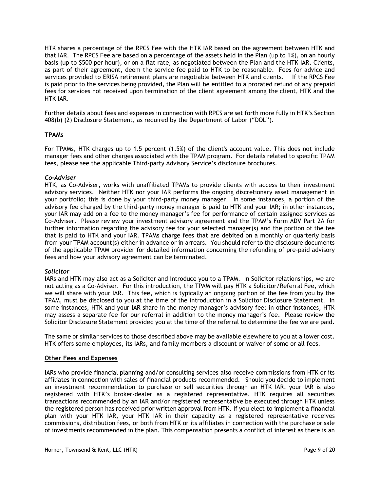HTK shares a percentage of the RPCS Fee with the HTK IAR based on the agreement between HTK and that IAR. The RPCS Fee are based on a percentage of the assets held in the Plan (up to 1%), on an hourly basis (up to \$500 per hour), or on a flat rate, as negotiated between the Plan and the HTK IAR. Clients, as part of their agreement, deem the service fee paid to HTK to be reasonable. Fees for advice and services provided to ERISA retirement plans are negotiable between HTK and clients. If the RPCS Fee is paid prior to the services being provided, the Plan will be entitled to a prorated refund of any prepaid fees for services not received upon termination of the client agreement among the client, HTK and the HTK IAR.

Further details about fees and expenses in connection with RPCS are set forth more fully in HTK's Section 408(b) (2) Disclosure Statement, as required by the Department of Labor ("DOL").

## TPAMs

For TPAMs, HTK charges up to 1.5 percent (1.5%) of the client's account value. This does not include manager fees and other charges associated with the TPAM program. For details related to specific TPAM fees, please see the applicable Third-party Advisory Service's disclosure brochures.

## Co-Adviser

HTK, as Co-Adviser, works with unaffiliated TPAMs to provide clients with access to their investment advisory services. Neither HTK nor your IAR performs the ongoing discretionary asset management in your portfolio; this is done by your third-party money manager. In some instances, a portion of the advisory fee charged by the third-party money manager is paid to HTK and your IAR; in other instances, your IAR may add on a fee to the money manager's fee for performance of certain assigned services as Co-Adviser. Please review your investment advisory agreement and the TPAM's Form ADV Part 2A for further information regarding the advisory fee for your selected manager(s) and the portion of the fee that is paid to HTK and your IAR. TPAMs charge fees that are debited on a monthly or quarterly basis from your TPAM account(s) either in advance or in arrears. You should refer to the disclosure documents of the applicable TPAM provider for detailed information concerning the refunding of pre-paid advisory fees and how your advisory agreement can be terminated.

#### Solicitor

IARs and HTK may also act as a Solicitor and introduce you to a TPAM. In Solicitor relationships, we are not acting as a Co-Adviser. For this introduction, the TPAM will pay HTK a Solicitor/Referral Fee, which we will share with your IAR. This fee, which is typically an ongoing portion of the fee from you by the TPAM, must be disclosed to you at the time of the introduction in a Solicitor Disclosure Statement. In some instances, HTK and your IAR share in the money manager's advisory fee; in other instances, HTK may assess a separate fee for our referral in addition to the money manager's fee. Please review the Solicitor Disclosure Statement provided you at the time of the referral to determine the fee we are paid.

The same or similar services to those described above may be available elsewhere to you at a lower cost. HTK offers some employees, its IARs, and family members a discount or waiver of some or all fees.

## Other Fees and Expenses

IARs who provide financial planning and/or consulting services also receive commissions from HTK or its affiliates in connection with sales of financial products recommended. Should you decide to implement an investment recommendation to purchase or sell securities through an HTK IAR, your IAR is also registered with HTK's broker-dealer as a registered representative. HTK requires all securities transactions recommended by an IAR and/or registered representative be executed through HTK unless the registered person has received prior written approval from HTK. If you elect to implement a financial plan with your HTK IAR, your HTK IAR in their capacity as a registered representative receives commissions, distribution fees, or both from HTK or its affiliates in connection with the purchase or sale of investments recommended in the plan. This compensation presents a conflict of interest as there is an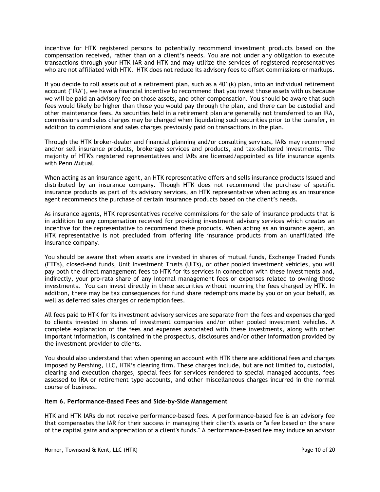incentive for HTK registered persons to potentially recommend investment products based on the compensation received, rather than on a client's needs. You are not under any obligation to execute transactions through your HTK IAR and HTK and may utilize the services of registered representatives who are not affiliated with HTK. HTK does not reduce its advisory fees to offset commissions or markups.

If you decide to roll assets out of a retirement plan, such as a 401(k) plan, into an individual retirement account ("IRA"), we have a financial incentive to recommend that you invest those assets with us because we will be paid an advisory fee on those assets, and other compensation. You should be aware that such fees would likely be higher than those you would pay through the plan, and there can be custodial and other maintenance fees. As securities held in a retirement plan are generally not transferred to an IRA, commissions and sales charges may be charged when liquidating such securities prior to the transfer, in addition to commissions and sales charges previously paid on transactions in the plan.

Through the HTK broker-dealer and financial planning and/or consulting services, IARs may recommend and/or sell insurance products, brokerage services and products, and tax-sheltered investments. The majority of HTK's registered representatives and IARs are licensed/appointed as life insurance agents with Penn Mutual.

When acting as an insurance agent, an HTK representative offers and sells insurance products issued and distributed by an insurance company. Though HTK does not recommend the purchase of specific insurance products as part of its advisory services, an HTK representative when acting as an insurance agent recommends the purchase of certain insurance products based on the client's needs.

As insurance agents, HTK representatives receive commissions for the sale of insurance products that is in addition to any compensation received for providing investment advisory services which creates an incentive for the representative to recommend these products. When acting as an insurance agent, an HTK representative is not precluded from offering life insurance products from an unaffiliated life insurance company.

You should be aware that when assets are invested in shares of mutual funds, Exchange Traded Funds (ETFs), closed-end funds, Unit Investment Trusts (UITs), or other pooled investment vehicles, you will pay both the direct management fees to HTK for its services in connection with these investments and, indirectly, your pro-rata share of any internal management fees or expenses related to owning those investments. You can invest directly in these securities without incurring the fees charged by HTK. In addition, there may be tax consequences for fund share redemptions made by you or on your behalf, as well as deferred sales charges or redemption fees.

All fees paid to HTK for its investment advisory services are separate from the fees and expenses charged to clients invested in shares of investment companies and/or other pooled investment vehicles. A complete explanation of the fees and expenses associated with these investments, along with other important information, is contained in the prospectus, disclosures and/or other information provided by the investment provider to clients.

You should also understand that when opening an account with HTK there are additional fees and charges imposed by Pershing, LLC, HTK's clearing firm. These charges include, but are not limited to, custodial, clearing and execution charges, special fees for services rendered to special managed accounts, fees assessed to IRA or retirement type accounts, and other miscellaneous charges incurred in the normal course of business.

## Item 6. Performance-Based Fees and Side-by-Side Management

HTK and HTK IARs do not receive performance-based fees. A performance-based fee is an advisory fee that compensates the IAR for their success in managing their client's assets or "a fee based on the share of the capital gains and appreciation of a client's funds." A performance-based fee may induce an advisor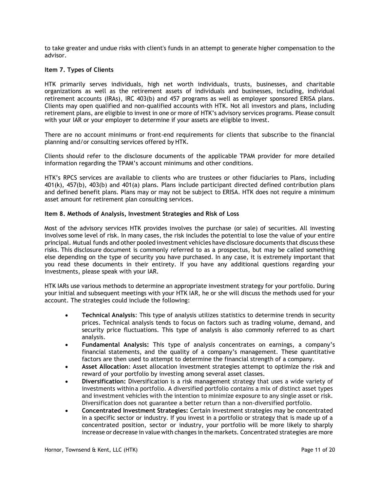to take greater and undue risks with client's funds in an attempt to generate higher compensation to the advisor.

## Item 7. Types of Clients

HTK primarily serves individuals, high net worth individuals, trusts, businesses, and charitable organizations as well as the retirement assets of individuals and businesses, including, individual retirement accounts (IRAs), IRC 403(b) and 457 programs as well as employer sponsored ERISA plans. Clients may open qualified and non-qualified accounts with HTK. Not all investors and plans, including retirement plans, are eligible to invest in one or more of HTK's advisory services programs. Please consult with your IAR or your employer to determine if your assets are eligible to invest.

There are no account minimums or front-end requirements for clients that subscribe to the financial planning and/or consulting services offered by HTK.

Clients should refer to the disclosure documents of the applicable TPAM provider for more detailed information regarding the TPAM's account minimums and other conditions.

HTK's RPCS services are available to clients who are trustees or other fiduciaries to Plans, including 401(k), 457(b), 403(b) and 401(a) plans. Plans include participant directed defined contribution plans and defined benefit plans. Plans may or may not be subject to ERISA. HTK does not require a minimum asset amount for retirement plan consulting services.

## Item 8. Methods of Analysis, Investment Strategies and Risk of Loss

Most of the advisory services HTK provides involves the purchase (or sale) of securities. All investing involves some level of risk. In many cases, the risk includes the potential to lose the value of your entire principal. Mutual funds and other pooled investment vehicles have disclosure documents that discuss these risks. This disclosure document is commonly referred to as a prospectus, but may be called something else depending on the type of security you have purchased. In any case, it is extremely important that you read these documents in their entirety. If you have any additional questions regarding your investments, please speak with your IAR.

HTK IARs use various methods to determine an appropriate investment strategy for your portfolio. During your initial and subsequent meetings with your HTK IAR, he or she will discuss the methods used for your account. The strategies could include the following:

- Technical Analysis: This type of analysis utilizes statistics to determine trends in security prices. Technical analysis tends to focus on factors such as trading volume, demand, and security price fluctuations. This type of analysis is also commonly referred to as chart analysis.
- Fundamental Analysis: This type of analysis concentrates on earnings, a company's financial statements, and the quality of a company's management. These quantitative factors are then used to attempt to determine the financial strength of a company.
- Asset Allocation: Asset allocation investment strategies attempt to optimize the risk and reward of your portfolio by investing among several asset classes.
- Diversification: Diversification is a risk management strategy that uses a wide variety of investments within a portfolio. A diversified portfolio contains a mix of distinct asset types and investment vehicles with the intention to minimize exposure to any single asset or risk. Diversification does not guarantee a better return than a non-diversified portfolio.
- Concentrated Investment Strategies: Certain investment strategies may be concentrated in a specific sector or industry. If you invest in a portfolio or strategy that is made up of a concentrated position, sector or industry, your portfolio will be more likely to sharply increase or decrease in value with changes in the markets. Concentrated strategies are more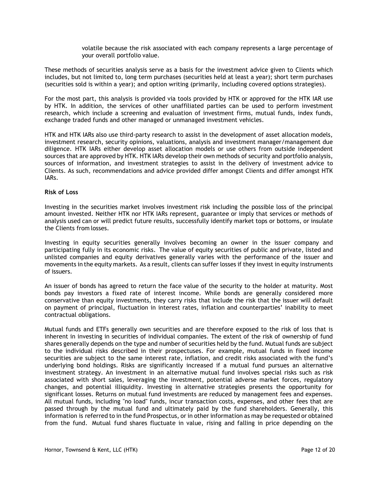volatile because the risk associated with each company represents a large percentage of your overall portfolio value.

These methods of securities analysis serve as a basis for the investment advice given to Clients which includes, but not limited to, long term purchases (securities held at least a year); short term purchases (securities sold is within a year); and option writing (primarily, including covered options strategies).

For the most part, this analysis is provided via tools provided by HTK or approved for the HTK IAR use by HTK. In addition, the services of other unaffiliated parties can be used to perform investment research, which include a screening and evaluation of investment firms, mutual funds, index funds, exchange traded funds and other managed or unmanaged investment vehicles.

HTK and HTK IARs also use third-party research to assist in the development of asset allocation models, investment research, security opinions, valuations, analysis and investment manager/management due diligence. HTK IARs either develop asset allocation models or use others from outside independent sources that are approved by HTK. HTK IARs develop their own methods of security and portfolio analysis, sources of information, and investment strategies to assist in the delivery of investment advice to Clients. As such, recommendations and advice provided differ amongst Clients and differ amongst HTK IARs.

#### Risk of Loss

Investing in the securities market involves investment risk including the possible loss of the principal amount invested. Neither HTK nor HTK IARs represent, guarantee or imply that services or methods of analysis used can or will predict future results, successfully identify market tops or bottoms, or insulate the Clients from losses.

Investing in equity securities generally involves becoming an owner in the issuer company and participating fully in its economic risks. The value of equity securities of public and private, listed and unlisted companies and equity derivatives generally varies with the performance of the issuer and movements in the equity markets. As a result, clients can suffer losses if they invest in equity instruments of issuers.

An issuer of bonds has agreed to return the face value of the security to the holder at maturity. Most bonds pay investors a fixed rate of interest income. While bonds are generally considered more conservative than equity investments, they carry risks that include the risk that the issuer will default on payment of principal, fluctuation in interest rates, inflation and counterparties' inability to meet contractual obligations.

Mutual funds and ETFs generally own securities and are therefore exposed to the risk of loss that is inherent in investing in securities of individual companies. The extent of the risk of ownership of fund shares generally depends on the type and number of securities held by the fund. Mutual funds are subject to the individual risks described in their prospectuses. For example, mutual funds in fixed income securities are subject to the same interest rate, inflation, and credit risks associated with the fund's underlying bond holdings. Risks are significantly increased if a mutual fund pursues an alternative investment strategy. An investment in an alternative mutual fund involves special risks such as risk associated with short sales, leveraging the investment, potential adverse market forces, regulatory changes, and potential illiquidity. Investing in alternative strategies presents the opportunity for significant losses. Returns on mutual fund investments are reduced by management fees and expenses. All mutual funds, including "no load" funds, incur transaction costs, expenses, and other fees that are passed through by the mutual fund and ultimately paid by the fund shareholders. Generally, this information is referred to in the fund Prospectus, or in other information as may be requested or obtained from the fund. Mutual fund shares fluctuate in value, rising and falling in price depending on the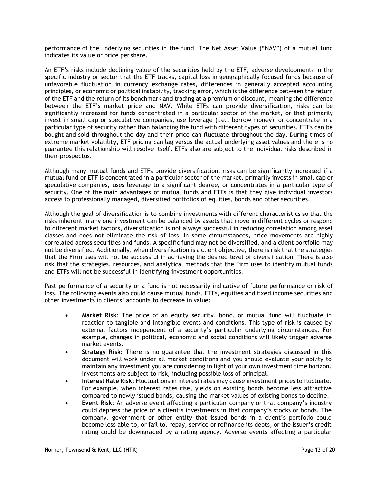performance of the underlying securities in the fund. The Net Asset Value ("NAV") of a mutual fund indicates its value or price per share.

An ETF's risks include declining value of the securities held by the ETF, adverse developments in the specific industry or sector that the ETF tracks, capital loss in geographically focused funds because of unfavorable fluctuation in currency exchange rates, differences in generally accepted accounting principles, or economic or political instability, tracking error, which is the difference between the return of the ETF and the return of its benchmark and trading at a premium or discount, meaning the difference between the ETF's market price and NAV. While ETFs can provide diversification, risks can be significantly increased for funds concentrated in a particular sector of the market, or that primarily invest in small cap or speculative companies, use leverage (i.e., borrow money), or concentrate in a particular type of security rather than balancing the fund with different types of securities. ETFs can be bought and sold throughout the day and their price can fluctuate throughout the day. During times of extreme market volatility, ETF pricing can lag versus the actual underlying asset values and there is no guarantee this relationship will resolve itself. ETFs also are subject to the individual risks described in their prospectus.

Although many mutual funds and ETFs provide diversification, risks can be significantly increased if a mutual fund or ETF is concentrated in a particular sector of the market, primarily invests in small cap or speculative companies, uses leverage to a significant degree, or concentrates in a particular type of security. One of the main advantages of mutual funds and ETFs is that they give individual investors access to professionally managed, diversified portfolios of equities, bonds and other securities.

Although the goal of diversification is to combine investments with different characteristics so that the risks inherent in any one investment can be balanced by assets that move in different cycles or respond to different market factors, diversification is not always successful in reducing correlation among asset classes and does not eliminate the risk of loss. In some circumstances, price movements are highly correlated across securities and funds. A specific fund may not be diversified, and a client portfolio may not be diversified. Additionally, when diversification is a client objective, there is risk that the strategies that the Firm uses will not be successful in achieving the desired level of diversification. There is also risk that the strategies, resources, and analytical methods that the Firm uses to identify mutual funds and ETFs will not be successful in identifying investment opportunities.

Past performance of a security or a fund is not necessarily indicative of future performance or risk of loss. The following events also could cause mutual funds, ETFs, equities and fixed income securities and other investments in clients' accounts to decrease in value:

- Market Risk: The price of an equity security, bond, or mutual fund will fluctuate in reaction to tangible and intangible events and conditions. This type of risk is caused by external factors independent of a security's particular underlying circumstances. For example, changes in political, economic and social conditions will likely trigger adverse market events.
- Strategy Risk: There is no guarantee that the investment strategies discussed in this document will work under all market conditions and you should evaluate your ability to maintain any investment you are considering in light of your own investment time horizon. Investments are subject to risk, including possible loss of principal.
- Interest Rate Risk: Fluctuations in interest rates may cause investment prices to fluctuate. For example, when interest rates rise, yields on existing bonds become less attractive compared to newly issued bonds, causing the market values of existing bonds to decline.
- Event Risk: An adverse event affecting a particular company or that company's industry could depress the price of a client's investments in that company's stocks or bonds. The company, government or other entity that issued bonds in a client's portfolio could become less able to, or fail to, repay, service or refinance its debts, or the issuer's credit rating could be downgraded by a rating agency. Adverse events affecting a particular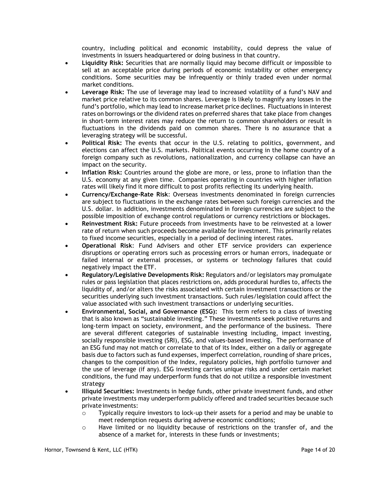country, including political and economic instability, could depress the value of investments in issuers headquartered or doing business in that country.

- Liquidity Risk: Securities that are normally liquid may become difficult or impossible to sell at an acceptable price during periods of economic instability or other emergency conditions. Some securities may be infrequently or thinly traded even under normal market conditions.
- Leverage Risk: The use of leverage may lead to increased volatility of a fund's NAV and market price relative to its common shares. Leverage is likely to magnify any losses in the fund's portfolio, which may lead to increase market price declines. Fluctuations in interest rates on borrowings or the dividend rates on preferred shares that take place from changes in short-term interest rates may reduce the return to common shareholders or result in fluctuations in the dividends paid on common shares. There is no assurance that a leveraging strategy will be successful.
- Political Risk: The events that occur in the U.S. relating to politics, government, and elections can affect the U.S. markets. Political events occurring in the home country of a foreign company such as revolutions, nationalization, and currency collapse can have an impact on the security.
- Inflation Risk: Countries around the globe are more, or less, prone to inflation than the U.S. economy at any given time. Companies operating in countries with higher inflation rates will likely find it more difficult to post profits reflecting its underlying health.
- Currency/Exchange-Rate Risk: Overseas investments denominated in foreign currencies are subject to fluctuations in the exchange rates between such foreign currencies and the U.S. dollar. In addition, investments denominated in foreign currencies are subject to the possible imposition of exchange control regulations or currency restrictions or blockages.
- Reinvestment Risk: Future proceeds from investments have to be reinvested at a lower rate of return when such proceeds become available for investment. This primarily relates to fixed income securities, especially in a period of declining interest rates.
- Operational Risk: Fund Advisers and other ETF service providers can experience disruptions or operating errors such as processing errors or human errors, inadequate or failed internal or external processes, or systems or technology failures that could negatively impact the ETF.
- Regulatory/Legislative Developments Risk: Regulators and/or legislators may promulgate rules or pass legislation that places restrictions on, adds procedural hurdles to, affects the liquidity of, and/or alters the risks associated with certain investment transactions or the securities underlying such investment transactions. Such rules/legislation could affect the value associated with such investment transactions or underlying securities.
- Environmental, Social, and Governance (ESG): This term refers to a class of investing that is also known as "sustainable investing." These investments seek positive returns and long-term impact on society, environment, and the performance of the business. There are several different categories of sustainable investing including, impact investing, socially responsible investing (SRI), ESG, and values-based investing. The performance of an ESG fund may not match or correlate to that of its Index, either on a daily or aggregate basis due to factors such as fund expenses, imperfect correlation, rounding of share prices, changes to the composition of the Index, regulatory policies, high portfolio turnover and the use of leverage (if any). ESG investing carries unique risks and under certain market conditions, the fund may underperform funds that do not utilize a responsible investment strategy
- Illiquid Securities: Investments in hedge funds, other private investment funds, and other private investments may underperform publicly offered and traded securities because such private investments:
	- o Typically require investors to lock-up their assets for a period and may be unable to meet redemption requests during adverse economic conditions;
	- $\circ$  Have limited or no liquidity because of restrictions on the transfer of, and the absence of a market for, interests in these funds or investments;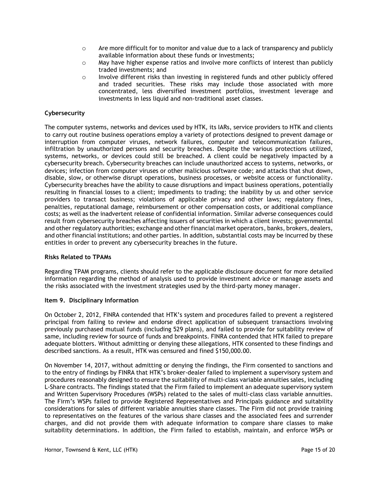- o Are more difficult for to monitor and value due to a lack of transparency and publicly available information about these funds or investments;
- $\circ$  May have higher expense ratios and involve more conflicts of interest than publicly traded investments; and
- o Involve different risks than investing in registered funds and other publicly offered and traded securities. These risks may include those associated with more concentrated, less diversified investment portfolios, investment leverage and investments in less liquid and non-traditional asset classes.

## Cybersecurity

The computer systems, networks and devices used by HTK, its IARs, service providers to HTK and clients to carry out routine business operations employ a variety of protections designed to prevent damage or interruption from computer viruses, network failures, computer and telecommunication failures, infiltration by unauthorized persons and security breaches. Despite the various protections utilized, systems, networks, or devices could still be breached. A client could be negatively impacted by a cybersecurity breach. Cybersecurity breaches can include unauthorized access to systems, networks, or devices; infection from computer viruses or other malicious software code; and attacks that shut down, disable, slow, or otherwise disrupt operations, business processes, or website access or functionality. Cybersecurity breaches have the ability to cause disruptions and impact business operations, potentially resulting in financial losses to a client; impediments to trading; the inability by us and other service providers to transact business; violations of applicable privacy and other laws; regulatory fines, penalties, reputational damage, reimbursement or other compensation costs, or additional compliance costs; as well as the inadvertent release of confidential information. Similar adverse consequences could result from cybersecurity breaches affecting issuers of securities in which a client invests; governmental and other regulatory authorities; exchange and other financial market operators, banks, brokers, dealers, and other financial institutions; and other parties. In addition, substantial costs may be incurred by these entities in order to prevent any cybersecurity breaches in the future.

## Risks Related to TPAMs

Regarding TPAM programs, clients should refer to the applicable disclosure document for more detailed information regarding the method of analysis used to provide investment advice or manage assets and the risks associated with the investment strategies used by the third-party money manager.

## Item 9. Disciplinary Information

On October 2, 2012, FINRA contended that HTK's system and procedures failed to prevent a registered principal from failing to review and endorse direct application of subsequent transactions involving previously purchased mutual funds (including 529 plans), and failed to provide for suitability review of same, including review for source of funds and breakpoints. FINRA contended that HTK failed to prepare adequate blotters. Without admitting or denying these allegations, HTK consented to these findings and described sanctions. As a result, HTK was censured and fined \$150,000.00.

On November 14, 2017, without admitting or denying the findings, the Firm consented to sanctions and to the entry of findings by FINRA that HTK's broker-dealer failed to implement a supervisory system and procedures reasonably designed to ensure the suitability of multi-class variable annuities sales, including L-Share contracts. The findings stated that the Firm failed to implement an adequate supervisory system and Written Supervisory Procedures (WSPs) related to the sales of multi-class class variable annuities. The Firm's WSPs failed to provide Registered Representatives and Principals guidance and suitability considerations for sales of different variable annuities share classes. The Firm did not provide training to representatives on the features of the various share classes and the associated fees and surrender charges, and did not provide them with adequate information to compare share classes to make suitability determinations. In addition, the Firm failed to establish, maintain, and enforce WSPs or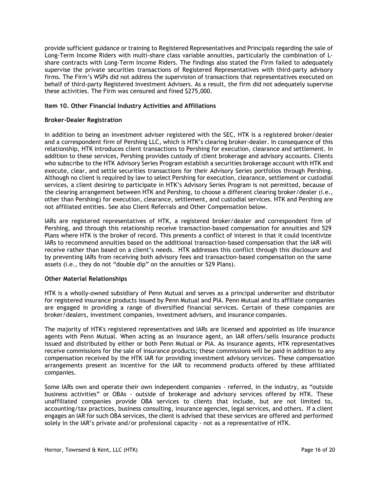provide sufficient guidance or training to Registered Representatives and Principals regarding the sale of Long-Term Income Riders with multi-share class variable annuities, particularly the combination of Lshare contracts with Long-Term Income Riders. The findings also stated the Firm failed to adequately supervise the private securities transactions of Registered Representatives with third-party advisory firms. The Firm's WSPs did not address the supervision of transactions that representatives executed on behalf of third-party Registered Investment Advisers. As a result, the firm did not adequately supervise these activities. The Firm was censured and fined \$275,000.

## Item 10. Other Financial Industry Activities and Affiliations

## Broker-Dealer Registration

In addition to being an investment adviser registered with the SEC, HTK is a registered broker/dealer and a correspondent firm of Pershing LLC, which is HTK's clearing broker-dealer. In consequence of this relationship, HTK introduces client transactions to Pershing for execution, clearance and settlement. In addition to these services, Pershing provides custody of client brokerage and advisory accounts. Clients who subscribe to the HTK Advisory Series Program establish a securities brokerage account with HTK and execute, clear, and settle securities transactions for their Advisory Series portfolios through Pershing. Although no client is required by law to select Pershing for execution, clearance, settlement or custodial services, a client desiring to participate in HTK's Advisory Series Program is not permitted, because of the clearing arrangement between HTK and Pershing, to choose a different clearing broker/dealer (i.e., other than Pershing) for execution, clearance, settlement, and custodial services. HTK and Pershing are not affiliated entities. See also Client Referrals and Other Compensation below.

IARs are registered representatives of HTK, a registered broker/dealer and correspondent firm of Pershing, and through this relationship receive transaction-based compensation for annuities and 529 Plans where HTK is the broker of record. This presents a conflict of interest in that it could incentivize IARs to recommend annuities based on the additional transaction-based compensation that the IAR will receive rather than based on a client's needs. HTK addresses this conflict through this disclosure and by preventing IARs from receiving both advisory fees and transaction-based compensation on the same assets (i.e., they do not "double dip" on the annuities or 529 Plans).

## Other Material Relationships

HTK is a wholly-owned subsidiary of Penn Mutual and serves as a principal underwriter and distributor for registered insurance products issued by Penn Mutual and PIA. Penn Mutual and its affiliate companies are engaged in providing a range of diversified financial services. Certain of these companies are broker/dealers, investment companies, investment advisers, and insurance companies.

The majority of HTK's registered representatives and IARs are licensed and appointed as life insurance agents with Penn Mutual. When acting as an insurance agent, an IAR offers/sells insurance products issued and distributed by either or both Penn Mutual or PIA. As insurance agents, HTK representatives receive commissions for the sale of insurance products; these commissions will be paid in addition to any compensation received by the HTK IAR for providing investment advisory services. These compensation arrangements present an incentive for the IAR to recommend products offered by these affiliated companies.

Some IARs own and operate their own independent companies - referred, in the industry, as "outside business activities" or OBAs - outside of brokerage and advisory services offered by HTK. These unaffiliated companies provide OBA services to clients that include, but are not limited to, accounting/tax practices, business consulting, insurance agencies, legal services, and others. If a client engages an IAR for such OBA services, the client is advised that these services are offered and performed solely in the IAR's private and/or professional capacity - not as a representative of HTK.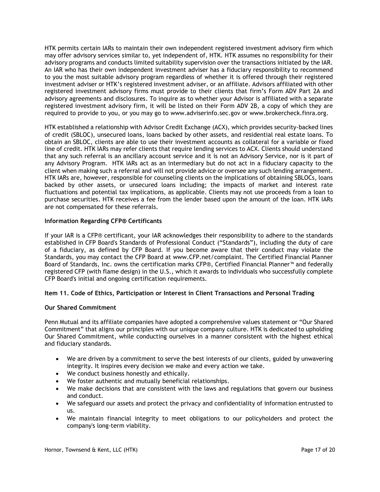HTK permits certain IARs to maintain their own independent registered investment advisory firm which may offer advisory services similar to, yet independent of, HTK. HTK assumes no responsibility for their advisory programs and conducts limited suitability supervision over the transactions initiated by the IAR. An IAR who has their own independent investment adviser has a fiduciary responsibility to recommend to you the most suitable advisory program regardless of whether it is offered through their registered investment adviser or HTK's registered investment adviser, or an affiliate. Advisors affiliated with other registered investment advisory firms must provide to their clients that firm's Form ADV Part 2A and advisory agreements and disclosures. To inquire as to whether your Advisor is affiliated with a separate registered investment advisory firm, it will be listed on their Form ADV 2B, a copy of which they are required to provide to you, or you may go to www.adviserinfo.sec.gov or www.brokercheck.finra.org.

HTK established a relationship with Advisor Credit Exchange (ACX), which provides security-backed lines of credit (SBLOC), unsecured loans, loans backed by other assets, and residential real estate loans. To obtain an SBLOC, clients are able to use their investment accounts as collateral for a variable or fixed line of credit. HTK IARs may refer clients that require lending services to ACX. Clients should understand that any such referral is an ancillary account service and it is not an Advisory Service, nor is it part of any Advisory Program. HTK IARs act as an intermediary but do not act in a fiduciary capacity to the client when making such a referral and will not provide advice or oversee any such lending arrangement. HTK IARs are, however, responsible for counseling clients on the implications of obtaining SBLOCs, loans backed by other assets, or unsecured loans including; the impacts of market and interest rate fluctuations and potential tax implications, as applicable. Clients may not use proceeds from a loan to purchase securities. HTK receives a fee from the lender based upon the amount of the loan. HTK IARs are not compensated for these referrals.

## Information Regarding CFP® Certificants

If your IAR is a CFP® certificant, your IAR acknowledges their responsibility to adhere to the standards established in CFP Board's Standards of Professional Conduct ("Standards"), including the duty of care of a fiduciary, as defined by CFP Board. If you become aware that their conduct may violate the Standards, you may contact the CFP Board at www.CFP.net/complaint. The Certified Financial Planner Board of Standards, Inc. owns the certification marks CFP®, Certified Financial Planner™ and federally registered CFP (with flame design) in the U.S., which it awards to individuals who successfully complete CFP Board's initial and ongoing certification requirements.

## Item 11. Code of Ethics, Participation or Interest in Client Transactions and Personal Trading

## Our Shared Commitment

Penn Mutual and its affiliate companies have adopted a comprehensive values statement or "Our Shared Commitment" that aligns our principles with our unique company culture. HTK is dedicated to upholding Our Shared Commitment, while conducting ourselves in a manner consistent with the highest ethical and fiduciary standards.

- We are driven by a commitment to serve the best interests of our clients, guided by unwavering integrity. It inspires every decision we make and every action we take.
- We conduct business honestly and ethically.
- We foster authentic and mutually beneficial relationships.
- We make decisions that are consistent with the laws and regulations that govern our business and conduct.
- We safeguard our assets and protect the privacy and confidentiality of information entrusted to us.
- We maintain financial integrity to meet obligations to our policyholders and protect the company's long-term viability.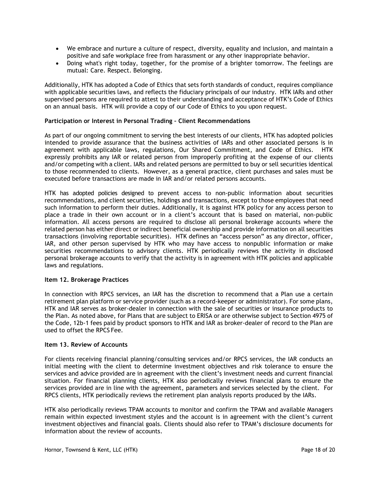- We embrace and nurture a culture of respect, diversity, equality and inclusion, and maintain a positive and safe workplace free from harassment or any other inappropriate behavior.
- Doing what's right today, together, for the promise of a brighter tomorrow. The feelings are mutual: Care. Respect. Belonging.

Additionally, HTK has adopted a Code of Ethics that sets forth standards of conduct, requires compliance with applicable securities laws, and reflects the fiduciary principals of our industry. HTK IARs and other supervised persons are required to attest to their understanding and acceptance of HTK's Code of Ethics on an annual basis. HTK will provide a copy of our Code of Ethics to you upon request.

#### Participation or Interest in Personal Trading – Client Recommendations

As part of our ongoing commitment to serving the best interests of our clients, HTK has adopted policies intended to provide assurance that the business activities of IARs and other associated persons is in agreement with applicable laws, regulations, Our Shared Commitment, and Code of Ethics. HTK expressly prohibits any IAR or related person from improperly profiting at the expense of our clients and/or competing with a client. IARs and related persons are permitted to buy or sell securities identical to those recommended to clients. However, as a general practice, client purchases and sales must be executed before transactions are made in IAR and/or related persons accounts.

HTK has adopted policies designed to prevent access to non-public information about securities recommendations, and client securities, holdings and transactions, except to those employees that need such information to perform their duties. Additionally, it is against HTK policy for any access person to place a trade in their own account or in a client's account that is based on material, non-public information. All access persons are required to disclose all personal brokerage accounts where the related person has either direct or indirect beneficial ownership and provide information on all securities transactions (involving reportable securities). HTK defines an "access person" as any director, officer, IAR, and other person supervised by HTK who may have access to nonpublic information or make securities recommendations to advisory clients. HTK periodically reviews the activity in disclosed personal brokerage accounts to verify that the activity is in agreement with HTK policies and applicable laws and regulations.

#### Item 12. Brokerage Practices

In connection with RPCS services, an IAR has the discretion to recommend that a Plan use a certain retirement plan platform or service provider (such as a record-keeper or administrator). For some plans, HTK and IAR serves as broker-dealer in connection with the sale of securities or insurance products to the Plan. As noted above, for Plans that are subject to ERISA or are otherwise subject to Section 4975 of the Code, 12b-1 fees paid by product sponsors to HTK and IAR as broker-dealer of record to the Plan are used to offset the RPCS Fee.

#### Item 13. Review of Accounts

For clients receiving financial planning/consulting services and/or RPCS services, the IAR conducts an initial meeting with the client to determine investment objectives and risk tolerance to ensure the services and advice provided are in agreement with the client's investment needs and current financial situation. For financial planning clients, HTK also periodically reviews financial plans to ensure the services provided are in line with the agreement, parameters and services selected by the client. For RPCS clients, HTK periodically reviews the retirement plan analysis reports produced by the IARs.

HTK also periodically reviews TPAM accounts to monitor and confirm the TPAM and available Managers remain within expected investment styles and the account is in agreement with the client's current investment objectives and financial goals. Clients should also refer to TPAM's disclosure documents for information about the review of accounts.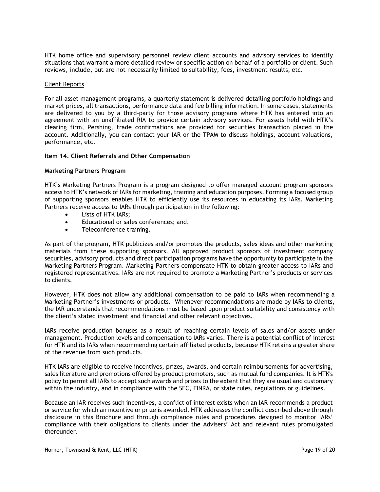HTK home office and supervisory personnel review client accounts and advisory services to identify situations that warrant a more detailed review or specific action on behalf of a portfolio or client. Such reviews, include, but are not necessarily limited to suitability, fees, investment results, etc.

#### Client Reports

For all asset management programs, a quarterly statement is delivered detailing portfolio holdings and market prices, all transactions, performance data and fee billing information. In some cases, statements are delivered to you by a third-party for those advisory programs where HTK has entered into an agreement with an unaffiliated RIA to provide certain advisory services. For assets held with HTK's clearing firm, Pershing, trade confirmations are provided for securities transaction placed in the account. Additionally, you can contact your IAR or the TPAM to discuss holdings, account valuations, performance, etc.

#### Item 14. Client Referrals and Other Compensation

#### Marketing Partners Program

HTK's Marketing Partners Program is a program designed to offer managed account program sponsors access to HTK's network of IARs for marketing, training and education purposes. Forming a focused group of supporting sponsors enables HTK to efficiently use its resources in educating its IARs. Marketing Partners receive access to IARs through participation in the following:

- Lists of HTK IARs;
- Educational or sales conferences; and,
- Teleconference training.

As part of the program, HTK publicizes and/or promotes the products, sales ideas and other marketing materials from these supporting sponsors. All approved product sponsors of investment company securities, advisory products and direct participation programs have the opportunity to participate in the Marketing Partners Program. Marketing Partners compensate HTK to obtain greater access to IARs and registered representatives. IARs are not required to promote a Marketing Partner's products or services to clients.

However, HTK does not allow any additional compensation to be paid to IARs when recommending a Marketing Partner's investments or products. Whenever recommendations are made by IARs to clients, the IAR understands that recommendations must be based upon product suitability and consistency with the client's stated investment and financial and other relevant objectives.

IARs receive production bonuses as a result of reaching certain levels of sales and/or assets under management. Production levels and compensation to IARs varies. There is a potential conflict of interest for HTK and its IARs when recommending certain affiliated products, because HTK retains a greater share of the revenue from such products.

HTK IARs are eligible to receive incentives, prizes, awards, and certain reimbursements for advertising, sales literature and promotions offered by product promoters, such as mutual fund companies. It is HTK's policy to permit all IARs to accept such awards and prizes to the extent that they are usual and customary within the industry, and in compliance with the SEC, FINRA, or state rules, regulations or guidelines.

Because an IAR receives such incentives, a conflict of interest exists when an IAR recommends a product or service for which an incentive or prize is awarded. HTK addresses the conflict described above through disclosure in this Brochure and through compliance rules and procedures designed to monitor IARs' compliance with their obligations to clients under the Advisers' Act and relevant rules promulgated thereunder.